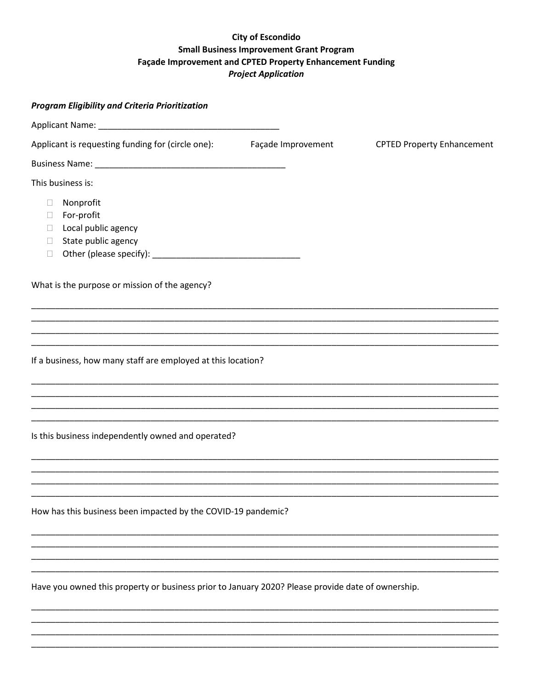## **City of Escondido Small Business Improvement Grant Program** Façade Improvement and CPTED Property Enhancement Funding **Project Application**

| <b>Program Eligibility and Criteria Prioritization</b>                                                        |                    |                                   |
|---------------------------------------------------------------------------------------------------------------|--------------------|-----------------------------------|
|                                                                                                               |                    |                                   |
| Applicant is requesting funding for (circle one):                                                             | Façade Improvement | <b>CPTED Property Enhancement</b> |
|                                                                                                               |                    |                                   |
| This business is:                                                                                             |                    |                                   |
| Nonprofit<br>$\Box$<br>For-profit<br>⊔<br>Local public agency<br>$\Box$<br>State public agency<br>⊔<br>$\Box$ |                    |                                   |
| What is the purpose or mission of the agency?                                                                 |                    |                                   |
|                                                                                                               |                    |                                   |
| ,我们也不能在这里的,我们也不能在这里的时候,我们也不能不能不能不能不能不能不能不能不能不能不能不能不能不能。""我们的是我们的,我们也不能不能不能不能不能不能                              |                    |                                   |
| If a business, how many staff are employed at this location?                                                  |                    |                                   |
|                                                                                                               |                    |                                   |
|                                                                                                               |                    |                                   |
| Is this business independently owned and operated?                                                            |                    |                                   |
|                                                                                                               |                    |                                   |
|                                                                                                               |                    |                                   |
| How has this business been impacted by the COVID-19 pandemic?                                                 |                    |                                   |
|                                                                                                               |                    |                                   |
|                                                                                                               |                    |                                   |
| Have you owned this property or business prior to January 2020? Please provide date of ownership.             |                    |                                   |
|                                                                                                               |                    |                                   |